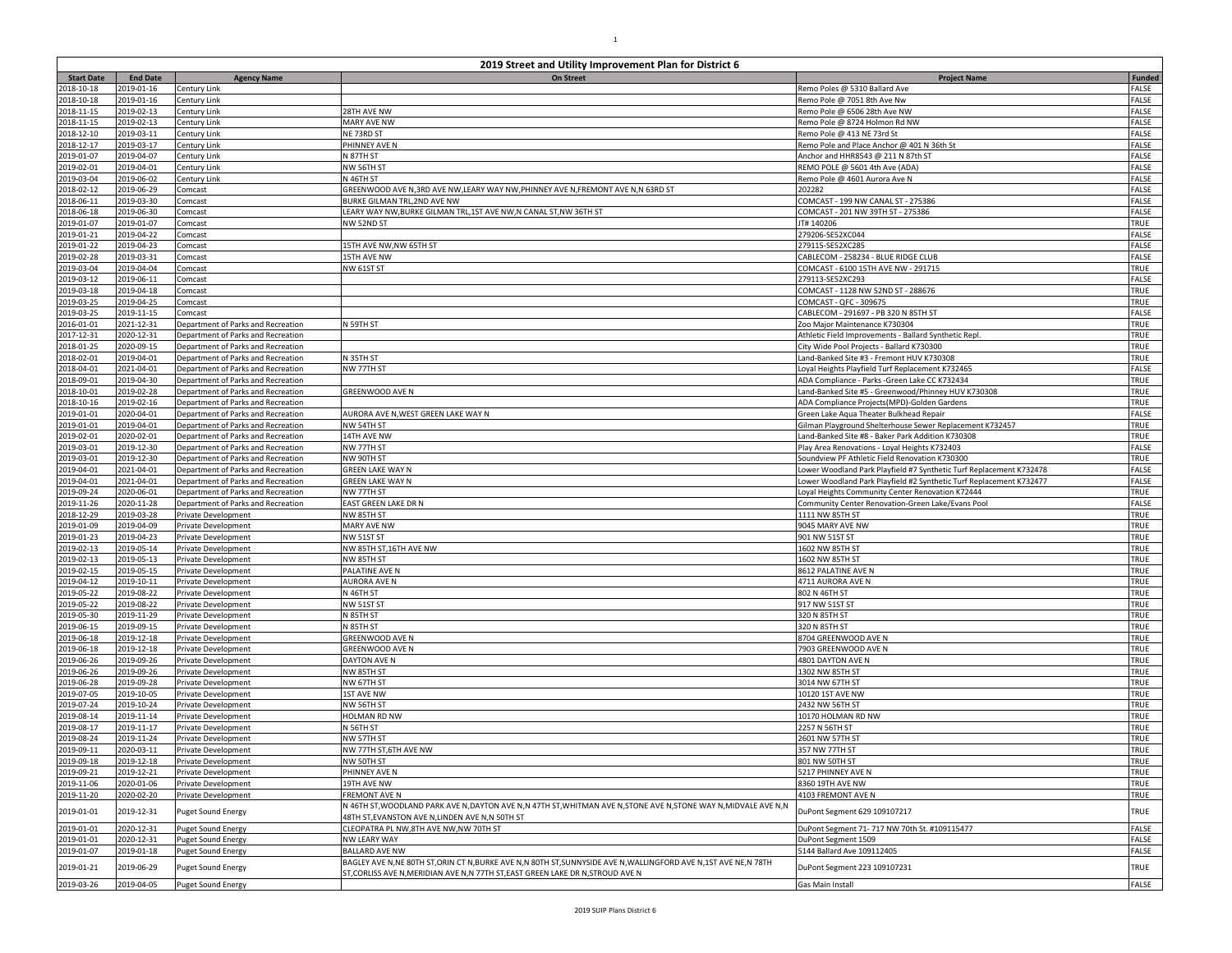| <b>Start Date</b>        | <b>End Date</b>          | <b>Agency Name</b>                                                       | 2019 Street and Utility Improvement Plan for District 6<br>On Street                                                                                                                            | <b>Project Name</b>                                                                                           | <b>Funded</b>  |
|--------------------------|--------------------------|--------------------------------------------------------------------------|-------------------------------------------------------------------------------------------------------------------------------------------------------------------------------------------------|---------------------------------------------------------------------------------------------------------------|----------------|
| 2018-10-18               | 2019-01-16               | Century Link                                                             |                                                                                                                                                                                                 | Remo Poles @ 5310 Ballard Ave                                                                                 | FALSE          |
| 2018-10-18               | 2019-01-16               | Century Link                                                             |                                                                                                                                                                                                 | Remo Pole @ 7051 8th Ave Nw                                                                                   | FALSE          |
| 2018-11-15               | 2019-02-13               | Century Link                                                             | 28TH AVE NW                                                                                                                                                                                     | Remo Pole @ 6506 28th Ave NW                                                                                  | FALSE          |
| 2018-11-15               | 2019-02-13               | Century Link                                                             | <b>MARY AVE NW</b>                                                                                                                                                                              | Remo Pole @ 8724 Holmon Rd NW                                                                                 | FALSE          |
| 2018-12-10               | 2019-03-11<br>2019-03-17 | Century Link<br>Century Link                                             | NE 73RD ST<br>PHINNEY AVE N                                                                                                                                                                     | Remo Pole @ 413 NE 73rd St                                                                                    | FALSE<br>FALSE |
| 2018-12-17<br>2019-01-07 | 2019-04-07               | Century Link                                                             | N 87TH ST                                                                                                                                                                                       | Remo Pole and Place Anchor @ 401 N 36th St<br>Anchor and HHR8543 @ 211 N 87th ST                              | FALSE          |
| 2019-02-01               | 2019-04-01               | Century Link                                                             | NW 56TH ST                                                                                                                                                                                      | REMO POLE @ 5601 4th Ave (ADA)                                                                                | FALSE          |
| 2019-03-04               | 2019-06-02               | Century Link                                                             | N 46TH ST                                                                                                                                                                                       | Remo Pole @ 4601 Aurora Ave N                                                                                 | FALSE          |
| 2018-02-12               | 2019-06-29               | Comcast                                                                  | GREENWOOD AVE N,3RD AVE NW,LEARY WAY NW,PHINNEY AVE N,FREMONT AVE N,N 63RD ST                                                                                                                   | 202282                                                                                                        | FALSE          |
| 2018-06-11               | 2019-03-30               | Comcast                                                                  | BURKE GILMAN TRL,2ND AVE NW                                                                                                                                                                     | COMCAST - 199 NW CANAL ST - 275386                                                                            | FALSE          |
| 2018-06-18               | 2019-06-30               | Comcast                                                                  | LEARY WAY NW, BURKE GILMAN TRL, 1ST AVE NW, N CANAL ST, NW 36TH ST                                                                                                                              | COMCAST - 201 NW 39TH ST - 275386                                                                             | FALSE          |
| 2019-01-07               | 2019-01-07               | Comcast                                                                  | NW 52ND ST                                                                                                                                                                                      | JT# 140206                                                                                                    | TRUE           |
| 2019-01-21<br>2019-01-22 | 2019-04-22<br>2019-04-23 | Comcast<br>Comcast                                                       | 15TH AVE NW, NW 65TH ST                                                                                                                                                                         | 279206-SE52XC044<br>279115-SE52XC285                                                                          | FALSE<br>FALSE |
| 2019-02-28               | 2019-03-31               | Comcast                                                                  | 15TH AVE NW                                                                                                                                                                                     | CABLECOM - 258234 - BLUE RIDGE CLUB                                                                           | FALSE          |
| 2019-03-04               | 2019-04-04               | Comcast                                                                  | <b>NW 61ST ST</b>                                                                                                                                                                               | COMCAST - 6100 15TH AVE NW - 291715                                                                           | TRUE           |
| 2019-03-12               | 2019-06-11               | Comcast                                                                  |                                                                                                                                                                                                 | 279113-SE52XC293                                                                                              | FALSE          |
| 2019-03-18               | 2019-04-18               | Comcast                                                                  |                                                                                                                                                                                                 | COMCAST - 1128 NW 52ND ST - 288676                                                                            | TRUE           |
| 2019-03-25               | 2019-04-25               | Comcast                                                                  |                                                                                                                                                                                                 | COMCAST - QFC - 309675                                                                                        | TRUE           |
| 2019-03-25               | 2019-11-15               | Comcast                                                                  |                                                                                                                                                                                                 | CABLECOM - 291697 - PB 320 N 85TH ST                                                                          | FALSE          |
| 2016-01-01<br>2017-12-31 | 2021-12-31               | Department of Parks and Recreation                                       | N 59TH ST                                                                                                                                                                                       | Zoo Major Maintenance K730304                                                                                 | TRUE<br>TRUE   |
| 2018-01-25               | 2020-12-31<br>2020-09-15 | Department of Parks and Recreation<br>Department of Parks and Recreation |                                                                                                                                                                                                 | Athletic Field Improvements - Ballard Synthetic Repl.<br>City Wide Pool Projects - Ballard K730300            | TRUE           |
| 2018-02-01               | 2019-04-01               | Department of Parks and Recreation                                       | N 35TH ST                                                                                                                                                                                       | Land-Banked Site #3 - Fremont HUV K730308                                                                     | TRUE           |
| 2018-04-01               | 2021-04-01               | Department of Parks and Recreation                                       | NW 77TH ST                                                                                                                                                                                      | Loyal Heights Playfield Turf Replacement K732465                                                              | FALSE          |
| 2018-09-01               | 2019-04-30               | Department of Parks and Recreation                                       |                                                                                                                                                                                                 | ADA Compliance - Parks - Green Lake CC K732434                                                                | TRUE           |
| 2018-10-01               | 2019-02-28               | Department of Parks and Recreation                                       | GREENWOOD AVE N                                                                                                                                                                                 | Land-Banked Site #5 - Greenwood/Phinney HUV K730308                                                           | TRUE           |
| 2018-10-16               | 2019-02-16               | Department of Parks and Recreation                                       |                                                                                                                                                                                                 | ADA Compliance Projects(MPD)-Golden Gardens                                                                   | TRUE           |
| 2019-01-01               | 2020-04-01               | Department of Parks and Recreation                                       | AURORA AVE N,WEST GREEN LAKE WAY N                                                                                                                                                              | Green Lake Agua Theater Bulkhead Repair                                                                       | FALSE          |
| 2019-01-01<br>2019-02-01 | 2019-04-01<br>2020-02-01 | Department of Parks and Recreation<br>Department of Parks and Recreation | NW 54TH ST<br>14TH AVE NW                                                                                                                                                                       | Gilman Playground Shelterhouse Sewer Replacement K732457<br>Land-Banked Site #8 - Baker Park Addition K730308 | TRUE<br>TRUE   |
| 2019-03-01               | 2019-12-30               | Department of Parks and Recreation                                       | NW 77TH ST                                                                                                                                                                                      | Play Area Renovations - Loyal Heights K732403                                                                 | FALSE          |
| 2019-03-01               | 2019-12-30               | Department of Parks and Recreation                                       | NW 90TH ST                                                                                                                                                                                      | Soundview PF Athletic Field Renovation K730300                                                                | TRUE           |
| 2019-04-01               | 2021-04-01               | Department of Parks and Recreation                                       | GREEN LAKE WAY N                                                                                                                                                                                | Lower Woodland Park Playfield #7 Synthetic Turf Replacement K732478                                           | FALSE          |
| 2019-04-01               | 2021-04-01               | Department of Parks and Recreation                                       | <b>GREEN LAKE WAY N</b>                                                                                                                                                                         | Lower Woodland Park Playfield #2 Synthetic Turf Replacement K732477                                           | FALSE          |
| 2019-09-24               | 2020-06-01               | Department of Parks and Recreation                                       | NW 77TH ST                                                                                                                                                                                      | Loyal Heights Community Center Renovation K72444                                                              | TRUE           |
| 2019-11-26               | 2020-11-28               | Department of Parks and Recreation                                       | EAST GREEN LAKE DR N                                                                                                                                                                            | Community Center Renovation-Green Lake/Evans Pool                                                             | FALSE          |
| 2018-12-29<br>2019-01-09 | 2019-03-28<br>2019-04-09 | Private Development                                                      | NW 85TH ST<br>MARY AVE NW                                                                                                                                                                       | 1111 NW 85TH ST<br>9045 MARY AVE NW                                                                           | TRUE<br>TRUE   |
| 2019-01-23               | 2019-04-23               | Private Development<br>Private Development                               | NW 51ST ST                                                                                                                                                                                      | 901 NW 51ST ST                                                                                                | TRUE           |
| 2019-02-13               | 2019-05-14               | Private Development                                                      | NW 85TH ST,16TH AVE NW                                                                                                                                                                          | 1602 NW 85TH ST                                                                                               | TRUE           |
| 2019-02-13               | 2019-05-13               | Private Development                                                      | NW 85TH ST                                                                                                                                                                                      | 1602 NW 85TH ST                                                                                               | TRUE           |
| 2019-02-15               | 2019-05-15               | Private Development                                                      | PALATINE AVE N                                                                                                                                                                                  | 8612 PALATINE AVE N                                                                                           | TRUE           |
| 2019-04-12               | 2019-10-11               | Private Development                                                      | AURORA AVE N                                                                                                                                                                                    | 4711 AURORA AVE N                                                                                             | TRUE           |
| 2019-05-22               | 2019-08-22               | Private Development                                                      | N 46TH ST                                                                                                                                                                                       | 802 N 46TH ST                                                                                                 | TRUE           |
| 2019-05-22               | 2019-08-22               | Private Development                                                      | NW 51ST ST                                                                                                                                                                                      | 917 NW 51ST ST                                                                                                | TRUE<br>TRUE   |
| 2019-05-30<br>2019-06-15 | 2019-11-29<br>2019-09-15 | Private Development<br>Private Development                               | N 85TH ST<br>N 85TH ST                                                                                                                                                                          | 320 N 85TH ST<br>320 N 85TH ST                                                                                | TRUE           |
| 2019-06-18               | 2019-12-18               | Private Development                                                      | GREENWOOD AVE N                                                                                                                                                                                 | 8704 GREENWOOD AVE N                                                                                          | TRUE           |
| 2019-06-18               | 2019-12-18               | Private Development                                                      | GREENWOOD AVE N                                                                                                                                                                                 | 7903 GREENWOOD AVE N                                                                                          | TRUE           |
| 2019-06-26               | 2019-09-26               | Private Development                                                      | DAYTON AVE N                                                                                                                                                                                    | 4801 DAYTON AVE N                                                                                             | TRUE           |
| 2019-06-26               | 2019-09-26               | Private Development                                                      | NW 85TH ST                                                                                                                                                                                      | 1302 NW 85TH ST                                                                                               | TRUE           |
| 2019-06-28               | 2019-09-28               | Private Development                                                      | NW 67TH ST                                                                                                                                                                                      | 3014 NW 67TH ST                                                                                               | TRUE           |
| 2019-07-05               | 2019-10-05               | Private Development                                                      | <b>1ST AVE NW</b><br>NW 56TH ST                                                                                                                                                                 | 10120 1ST AVE NW                                                                                              | TRUE           |
| 2019-07-24<br>2019-08-14 | 2019-10-24<br>2019-11-14 | Private Development<br>Private Development                               | HOLMAN RD NW                                                                                                                                                                                    | 2432 NW 56TH ST<br>10170 HOLMAN RD NW                                                                         | TRUE<br>TRUE   |
| 2019-08-17               | 2019-11-17               | Private Development                                                      | N 56TH ST                                                                                                                                                                                       | 2257 N 56TH ST                                                                                                | TRUE           |
| 2019-08-24               | 2019-11-24               | Private Development                                                      | NW 57TH ST                                                                                                                                                                                      | 2601 NW 57TH ST                                                                                               | TRUE           |
| 2019-09-11               | 2020-03-11               | Private Development                                                      | NW 77TH ST,6TH AVE NW                                                                                                                                                                           | 357 NW 77TH ST                                                                                                | TRUE           |
| 2019-09-18               | 2019-12-18               | Private Development                                                      | NW 50TH ST                                                                                                                                                                                      | 801 NW 50TH ST                                                                                                | TRUE           |
| 2019-09-21               | 2019-12-21               | Private Development                                                      | PHINNEY AVE N                                                                                                                                                                                   | 5217 PHINNEY AVE N                                                                                            | TRUE           |
| 2019-11-06               | 2020-01-06               | Private Development                                                      | 19TH AVE NW                                                                                                                                                                                     | 8360 19TH AVE NW                                                                                              | TRUE           |
| 2019-11-20               | 2020-02-20               | Private Development                                                      | <b>FREMONT AVE N</b><br>N 46TH ST,WOODLAND PARK AVE N,DAYTON AVE N,N 47TH ST,WHITMAN AVE N,STONE AVE N,STONE WAY N,MIDVALE AVE N,N                                                              | 4103 FREMONT AVE N                                                                                            | TRUE           |
| 2019-01-01               | 2019-12-31               | uget Sound Energy                                                        | 48TH ST,EVANSTON AVE N,LINDEN AVE N,N 50TH ST                                                                                                                                                   | DuPont Segment 629 109107217                                                                                  | TRUE           |
| 2019-01-01               | 2020-12-31               | Juget Sound Energy                                                       | CLEOPATRA PL NW, 8TH AVE NW, NW 70TH ST                                                                                                                                                         | DuPont Segment 71- 717 NW 70th St. #109115477                                                                 | FALSE          |
| 2019-01-01               | 2020-12-31               | <b>Puget Sound Energy</b>                                                | NW LEARY WAY                                                                                                                                                                                    | DuPont Segment 1509                                                                                           | FALSE          |
| 2019-01-07               | 2019-01-18               | <b>Puget Sound Energy</b>                                                | <b>BALLARD AVE NW</b>                                                                                                                                                                           | 5144 Ballard Ave 109112405                                                                                    | FALSE          |
| 2019-01-21               | 2019-06-29               | uget Sound Energy                                                        | BAGLEY AVE N,NE 80TH ST,ORIN CT N,BURKE AVE N,N 80TH ST,SUNNYSIDE AVE N,WALLINGFORD AVE N,1ST AVE NE,N 78TH<br>ST, CORLISS AVE N, MERIDIAN AVE N, N 77TH ST, EAST GREEN LAKE DR N, STROUD AVE N | DuPont Segment 223 109107231                                                                                  | TRUE           |
| 2019-03-26               | 2019-04-05               | <b>Puget Sound Energy</b>                                                |                                                                                                                                                                                                 | Gas Main Install                                                                                              | FALSE          |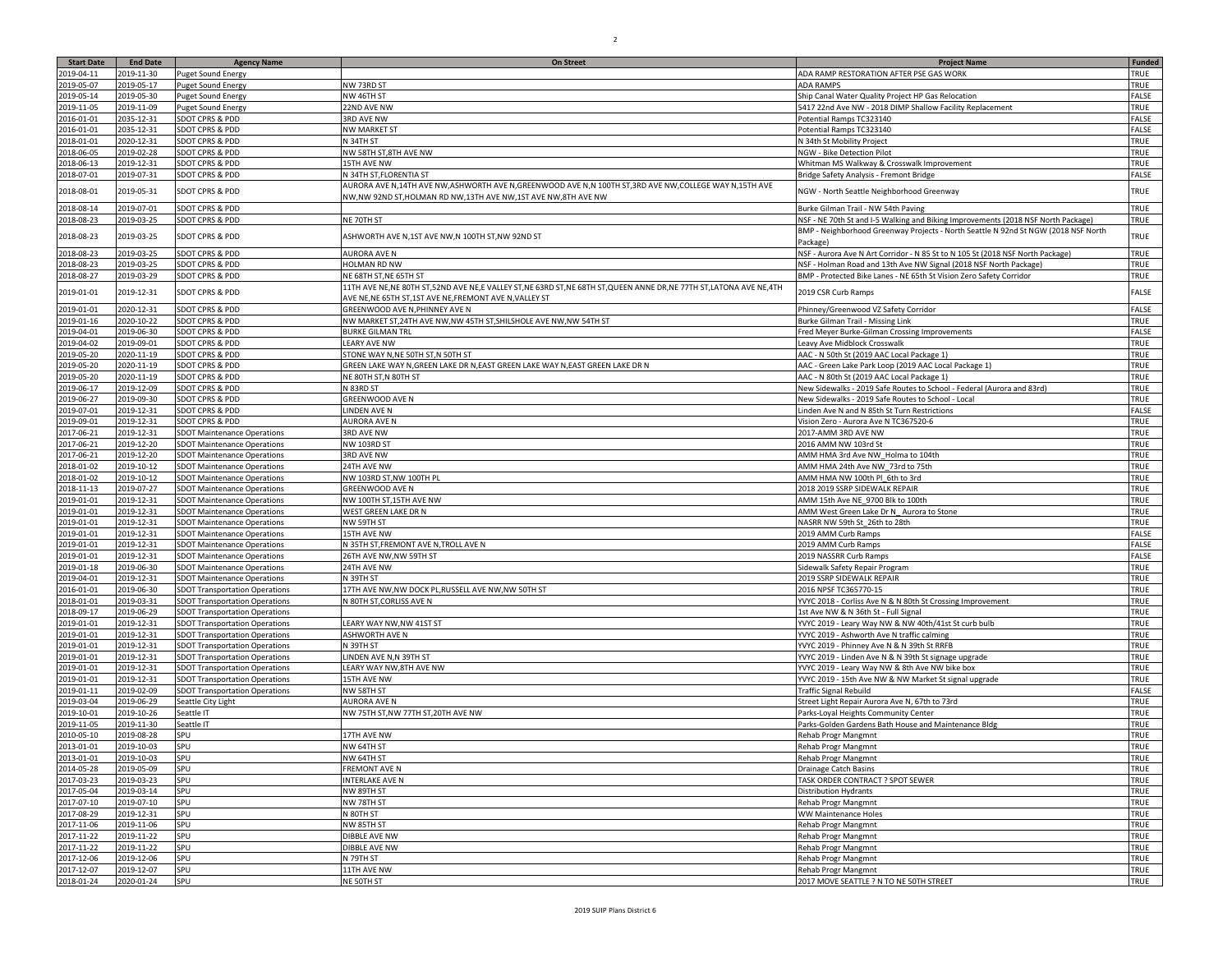| <b>Start Date</b>        | <b>End Date</b> | <b>Agency Name</b>                                                             | <b>On Street</b>                                                                                                         | <b>Project Name</b>                                                                | <b>Funded</b> |
|--------------------------|-----------------|--------------------------------------------------------------------------------|--------------------------------------------------------------------------------------------------------------------------|------------------------------------------------------------------------------------|---------------|
| 2019-04-11               | 2019-11-30      | Puget Sound Energy                                                             |                                                                                                                          | ADA RAMP RESTORATION AFTER PSE GAS WORK                                            | TRUE          |
| 2019-05-07               | 2019-05-17      | <b>Puget Sound Energy</b>                                                      | NW 73RD ST                                                                                                               | ADA RAMPS                                                                          | <b>TRUE</b>   |
| 2019-05-14               | 2019-05-30      | <b>Puget Sound Energy</b>                                                      | NW 46TH ST                                                                                                               | Ship Canal Water Quality Project HP Gas Relocation                                 | ALSE          |
| 2019-11-05               | 2019-11-09      | <b>Puget Sound Energy</b>                                                      | 22ND AVE NW                                                                                                              | 5417 22nd Ave NW - 2018 DIMP Shallow Facility Replacement                          | <b>TRUE</b>   |
| 2016-01-01               | 2035-12-31      | SDOT CPRS & PDD                                                                | 3RD AVE NW                                                                                                               | Potential Ramps TC323140                                                           | FALSE         |
| 2016-01-01               | 2035-12-31      | SDOT CPRS & PDD                                                                | <b>NW MARKET ST</b>                                                                                                      | Potential Ramps TC323140                                                           | ALSE          |
| 2018-01-01               | 2020-12-31      | SDOT CPRS & PDD                                                                | N 34TH ST                                                                                                                | N 34th St Mobility Project                                                         | <b>TRUE</b>   |
| 2018-06-05               | 2019-02-28      | SDOT CPRS & PDD                                                                | NW 58TH ST,8TH AVE NW                                                                                                    | <b>NGW - Bike Detection Pilot</b>                                                  | TRUE          |
| 2018-06-13               | 2019-12-31      | SDOT CPRS & PDD                                                                | 15TH AVE NW                                                                                                              | Whitman MS Walkway & Crosswalk Improvement                                         | TRUE          |
| 2018-07-01               | 2019-07-31      | SDOT CPRS & PDD                                                                | N 34TH ST, FLORENTIA ST                                                                                                  | Bridge Safety Analysis - Fremont Bridge                                            | FALSE         |
|                          |                 |                                                                                | AURORA AVE N,14TH AVE NW,ASHWORTH AVE N,GREENWOOD AVE N,N 100TH ST,3RD AVE NW,COLLEGE WAY N,15TH AVE                     |                                                                                    |               |
| 2018-08-01               | 2019-05-31      | SDOT CPRS & PDD                                                                | NW, NW 92ND ST, HOLMAN RD NW, 13TH AVE NW, 1ST AVE NW, 8TH AVE NW                                                        | NGW - North Seattle Neighborhood Greenway                                          | TRUE          |
| 2018-08-14               | 2019-07-01      | SDOT CPRS & PDD                                                                |                                                                                                                          | Burke Gilman Trail - NW 54th Paving                                                | TRUE          |
| 2018-08-23               | 2019-03-25      | SDOT CPRS & PDD                                                                | NE 70TH ST                                                                                                               |                                                                                    | TRUE          |
|                          |                 |                                                                                |                                                                                                                          | NSF - NE 70th St and I-5 Walking and Biking Improvements (2018 NSF North Package)  |               |
| 2018-08-23               | 2019-03-25      | SDOT CPRS & PDD                                                                | ASHWORTH AVE N,1ST AVE NW,N 100TH ST,NW 92ND ST                                                                          | BMP - Neighborhood Greenway Projects - North Seattle N 92nd St NGW (2018 NSF North | TRUE          |
|                          |                 |                                                                                |                                                                                                                          | Package)                                                                           |               |
| 2018-08-23               | 2019-03-25      | SDOT CPRS & PDD                                                                | <b>AURORA AVE N</b>                                                                                                      | NSF - Aurora Ave N Art Corridor - N 85 St to N 105 St (2018 NSF North Package)     | TRUE          |
| 2018-08-23               | 2019-03-25      | SDOT CPRS & PDD                                                                | HOLMAN RD NW                                                                                                             | NSF - Holman Road and 13th Ave NW Signal (2018 NSF North Package)                  | TRUE          |
| 2018-08-27               | 2019-03-29      | SDOT CPRS & PDD                                                                | NE 68TH ST, NE 65TH ST                                                                                                   | BMP - Protected Bike Lanes - NE 65th St Vision Zero Safety Corridor                | TRUE          |
| 2019-01-01               | 2019-12-31      | SDOT CPRS & PDD                                                                | 11TH AVE NE, NE 80TH ST, 52ND AVE NE, E VALLEY ST, NE 63RD ST, NE 68TH ST, QUEEN ANNE DR, NE 77TH ST, LATONA AVE NE, 4TH | 2019 CSR Curb Ramps                                                                | ALSE          |
|                          |                 |                                                                                | AVE NE, NE 65TH ST, 1ST AVE NE, FREMONT AVE N, VALLEY ST                                                                 |                                                                                    |               |
| 2019-01-01               | 2020-12-31      | SDOT CPRS & PDD                                                                | GREENWOOD AVE N, PHINNEY AVE N                                                                                           | Phinney/Greenwood VZ Safety Corridor                                               | FALSE         |
| 2019-01-16               | 2020-10-22      | SDOT CPRS & PDD                                                                | NW MARKET ST, 24TH AVE NW, NW 45TH ST, SHILSHOLE AVE NW, NW 54TH ST                                                      | Burke Gilman Trail - Missing Link                                                  | <b>TRUE</b>   |
| 2019-04-01               | 2019-06-30      | SDOT CPRS & PDD                                                                | <b>BURKE GILMAN TRL</b>                                                                                                  | Fred Meyer Burke-Gilman Crossing Improvements                                      | ALSE          |
| 2019-04-02               | 2019-09-01      | SDOT CPRS & PDD                                                                | <b>LEARY AVE NW</b>                                                                                                      | Leavy Ave Midblock Crosswalk                                                       | TRUE          |
| 2019-05-20               | 2020-11-19      | SDOT CPRS & PDD                                                                | STONE WAY N, NE 50TH ST, N 50TH ST                                                                                       | AAC - N 50th St (2019 AAC Local Package 1)                                         | TRUE          |
| 2019-05-20               | 2020-11-19      | SDOT CPRS & PDD                                                                | GREEN LAKE WAY N, GREEN LAKE DR N, EAST GREEN LAKE WAY N, EAST GREEN LAKE DR N                                           | AAC - Green Lake Park Loop (2019 AAC Local Package 1)                              | TRUE          |
| 2019-05-20               | 2020-11-19      | SDOT CPRS & PDD                                                                | NE 80TH ST, N 80TH ST                                                                                                    | AAC - N 80th St (2019 AAC Local Package 1)                                         | TRUE          |
| 2019-06-17               | 2019-12-09      | SDOT CPRS & PDD                                                                | N 83RD ST                                                                                                                | New Sidewalks - 2019 Safe Routes to School - Federal (Aurora and 83rd)             | TRUE          |
| 2019-06-27               | 2019-09-30      | SDOT CPRS & PDD                                                                | GREENWOOD AVE N                                                                                                          | New Sidewalks - 2019 Safe Routes to School - Local                                 | TRUE          |
| 2019-07-01               | 2019-12-31      | SDOT CPRS & PDD                                                                | LINDEN AVE N                                                                                                             | Linden Ave N and N 85th St Turn Restrictions                                       | FALSE         |
| 2019-09-01               | 2019-12-31      | SDOT CPRS & PDD                                                                | <b>AURORA AVE N</b>                                                                                                      | Vision Zero - Aurora Ave N TC367520-6                                              | TRUE          |
| 2017-06-21               | 2019-12-31      | <b>SDOT Maintenance Operations</b>                                             | 3RD AVE NW                                                                                                               | 2017-AMM 3RD AVE NW                                                                | TRUE          |
| 2017-06-21               | 2019-12-20      | <b>SDOT Maintenance Operations</b>                                             | <b>NW 103RD ST</b>                                                                                                       | 2016 AMM NW 103rd St                                                               | TRUE          |
| 2017-06-21               | 2019-12-20      | <b>SDOT Maintenance Operations</b>                                             | 3RD AVE NW                                                                                                               | AMM HMA 3rd Ave NW_Holma to 104th                                                  | TRUE          |
| 2018-01-02               | 2019-10-12      | <b>SDOT Maintenance Operations</b>                                             | 24TH AVE NW                                                                                                              | AMM HMA 24th Ave NW 73rd to 75th                                                   | TRUE          |
| 2018-01-02               | 2019-10-12      | <b>SDOT Maintenance Operations</b>                                             | NW 103RD ST, NW 100TH PL                                                                                                 | AMM HMA NW 100th Pl 6th to 3rd                                                     | TRUE          |
| 2018-11-13               | 2019-07-27      | <b>SDOT Maintenance Operations</b>                                             | GREENWOOD AVE N                                                                                                          | 2018 2019 SSRP SIDEWALK REPAIR                                                     | TRUE          |
| 2019-01-01               | 2019-12-31      | <b>SDOT Maintenance Operations</b>                                             | NW 100TH ST,15TH AVE NW                                                                                                  | AMM 15th Ave NE_9700 Blk to 100th                                                  | TRUE          |
| 2019-01-01               | 2019-12-31      | <b>SDOT Maintenance Operations</b>                                             | WEST GREEN LAKE DR N                                                                                                     | AMM West Green Lake Dr N_Aurora to Stone                                           | TRUE          |
| 2019-01-01               | 2019-12-31      | <b>SDOT Maintenance Operations</b>                                             | NW 59TH ST                                                                                                               | NASRR NW 59th St_26th to 28th                                                      | TRUE          |
| 2019-01-01               | 2019-12-31      | <b>SDOT Maintenance Operations</b>                                             | 15TH AVE NW                                                                                                              | 2019 AMM Curb Ramps                                                                | FALSE         |
| 2019-01-01               | 2019-12-31      | <b>SDOT Maintenance Operations</b>                                             | N 35TH ST, FREMONT AVE N, TROLL AVE N                                                                                    | 2019 AMM Curb Ramps                                                                | ALSE          |
| 2019-01-01               | 2019-12-31      | <b>SDOT Maintenance Operations</b>                                             | 26TH AVE NW, NW 59TH ST                                                                                                  | 2019 NASSRR Curb Ramps                                                             | ALSE          |
| 2019-01-18               | 2019-06-30      | <b>SDOT Maintenance Operations</b>                                             | 24TH AVE NW                                                                                                              | Sidewalk Safety Repair Program                                                     | TRUE          |
| 2019-04-01               | 2019-12-31      | <b>SDOT Maintenance Operations</b>                                             | N 39TH ST                                                                                                                | 2019 SSRP SIDEWALK REPAIR                                                          | TRUE          |
| 2016-01-01               | 2019-06-30      | <b>SDOT Transportation Operations</b>                                          | 17TH AVE NW, NW DOCK PL, RUSSELL AVE NW, NW 50TH ST                                                                      | 2016 NPSF TC365770-15                                                              | TRUE          |
| 2018-01-01               | 2019-03-31      | <b>SDOT Transportation Operations</b>                                          | N 80TH ST, CORLISS AVE N                                                                                                 | YVYC 2018 - Corliss Ave N & N 80th St Crossing Improvement                         | TRUE          |
| 2018-09-17               | 2019-06-29      | <b>SDOT Transportation Operations</b>                                          |                                                                                                                          | 1st Ave NW & N 36th St - Full Signal                                               | TRUE          |
| 2019-01-01               | 2019-12-31      | <b>SDOT Transportation Operations</b>                                          | LEARY WAY NW,NW 41ST ST                                                                                                  | YVYC 2019 - Leary Way NW & NW 40th/41st St curb bulb                               | TRUE          |
| 2019-01-01               | 2019-12-31      |                                                                                | ASHWORTH AVE N                                                                                                           | YVYC 2019 - Ashworth Ave N traffic calming                                         | TRUE          |
| 2019-01-01               | 2019-12-31      | <b>SDOT Transportation Operations</b><br><b>SDOT Transportation Operations</b> | N 39TH ST                                                                                                                | YVYC 2019 - Phinney Ave N & N 39th St RRFB                                         | TRUE          |
| 2019-01-01               | 2019-12-31      |                                                                                | LINDEN AVE N,N 39TH ST                                                                                                   | YVYC 2019 - Linden Ave N & N 39th St signage upgrade                               | TRUE          |
| 2019-01-01               | 2019-12-31      | <b>SDOT Transportation Operations</b><br><b>SDOT Transportation Operations</b> | LEARY WAY NW,8TH AVE NW                                                                                                  | YVYC 2019 - Leary Way NW & 8th Ave NW bike box                                     | TRUE          |
| 2019-01-01               | 2019-12-31      | <b>SDOT Transportation Operations</b>                                          | 15TH AVE NW                                                                                                              | YVYC 2019 - 15th Ave NW & NW Market St signal upgrade                              | TRUE          |
|                          |                 |                                                                                |                                                                                                                          |                                                                                    | FALSE         |
| 2019-01-11<br>2019-03-04 | 2019-02-09      | <b>SDOT Transportation Operations</b>                                          | NW 58TH ST                                                                                                               | <b>Traffic Signal Rebuild</b>                                                      | TRUE          |
|                          | 2019-06-29      | Seattle City Light                                                             | <b>AURORA AVE N</b>                                                                                                      | Street Light Repair Aurora Ave N, 67th to 73rd                                     |               |
| 2019-10-01               | 2019-10-26      | Seattle IT                                                                     | NW 75TH ST, NW 77TH ST, 20TH AVE NW                                                                                      | Parks-Loyal Heights Community Center                                               | TRUE          |
| 2019-11-05               | 2019-11-30      | Seattle IT                                                                     |                                                                                                                          | Parks-Golden Gardens Bath House and Maintenance Bldg                               | TRUE          |
| 2010-05-10               | 2019-08-28      | SPU                                                                            | 17TH AVE NW                                                                                                              | Rehab Progr Mangmnt                                                                | TRUE          |
| 2013-01-01               | 2019-10-03      | SPU                                                                            | NW 64TH ST                                                                                                               | Rehab Progr Mangmnt                                                                | TRUE          |
| 2013-01-01               | 2019-10-03      | SPU                                                                            | NW 64TH ST                                                                                                               | <b>Rehab Progr Mangmnt</b>                                                         | TRUE          |
| 2014-05-28               | 2019-05-09      | SPU                                                                            | <b>FREMONT AVE N</b>                                                                                                     | <b>Drainage Catch Basins</b>                                                       | TRUE          |
| 2017-03-23               | 2019-03-23      | SPU                                                                            | <b>INTERLAKE AVE N</b>                                                                                                   | TASK ORDER CONTRACT ? SPOT SEWER                                                   | TRUE          |
| 2017-05-04               | 2019-03-14      | SPU                                                                            | NW 89TH ST                                                                                                               | Distribution Hydrants                                                              | TRUE          |
| 2017-07-10               | 2019-07-10      | SPU                                                                            | NW 78TH ST                                                                                                               | <b>Rehab Progr Mangmnt</b>                                                         | TRUE          |
| 2017-08-29               | 2019-12-31      | SPU                                                                            | N 80TH ST                                                                                                                | <b>WW Maintenance Holes</b>                                                        | TRUE          |
| 2017-11-06               | 2019-11-06      | SPU                                                                            | NW 85TH ST                                                                                                               | Rehab Progr Mangmnt                                                                | TRUE          |
| 2017-11-22               | 2019-11-22      | SPU                                                                            | <b>DIBBLE AVE NW</b>                                                                                                     | <b>Rehab Progr Mangmnt</b>                                                         | TRUE          |
| 2017-11-22               | 2019-11-22      | SPU                                                                            | <b>DIBBLE AVE NW</b>                                                                                                     | <b>Rehab Progr Mangmnt</b>                                                         | TRUE          |
| 2017-12-06               | 2019-12-06      | SPU                                                                            | N 79TH ST                                                                                                                | Rehab Progr Mangmnt                                                                | TRUE          |
| 2017-12-07               | 2019-12-07      | SPU                                                                            | 11TH AVE NW                                                                                                              | Rehab Progr Mangmnt                                                                | TRUE          |
| 2018-01-24               | 2020-01-24      | SPU                                                                            | NE 50TH ST                                                                                                               | 2017 MOVE SEATTLE ? N TO NE 50TH STREET                                            | TRUE          |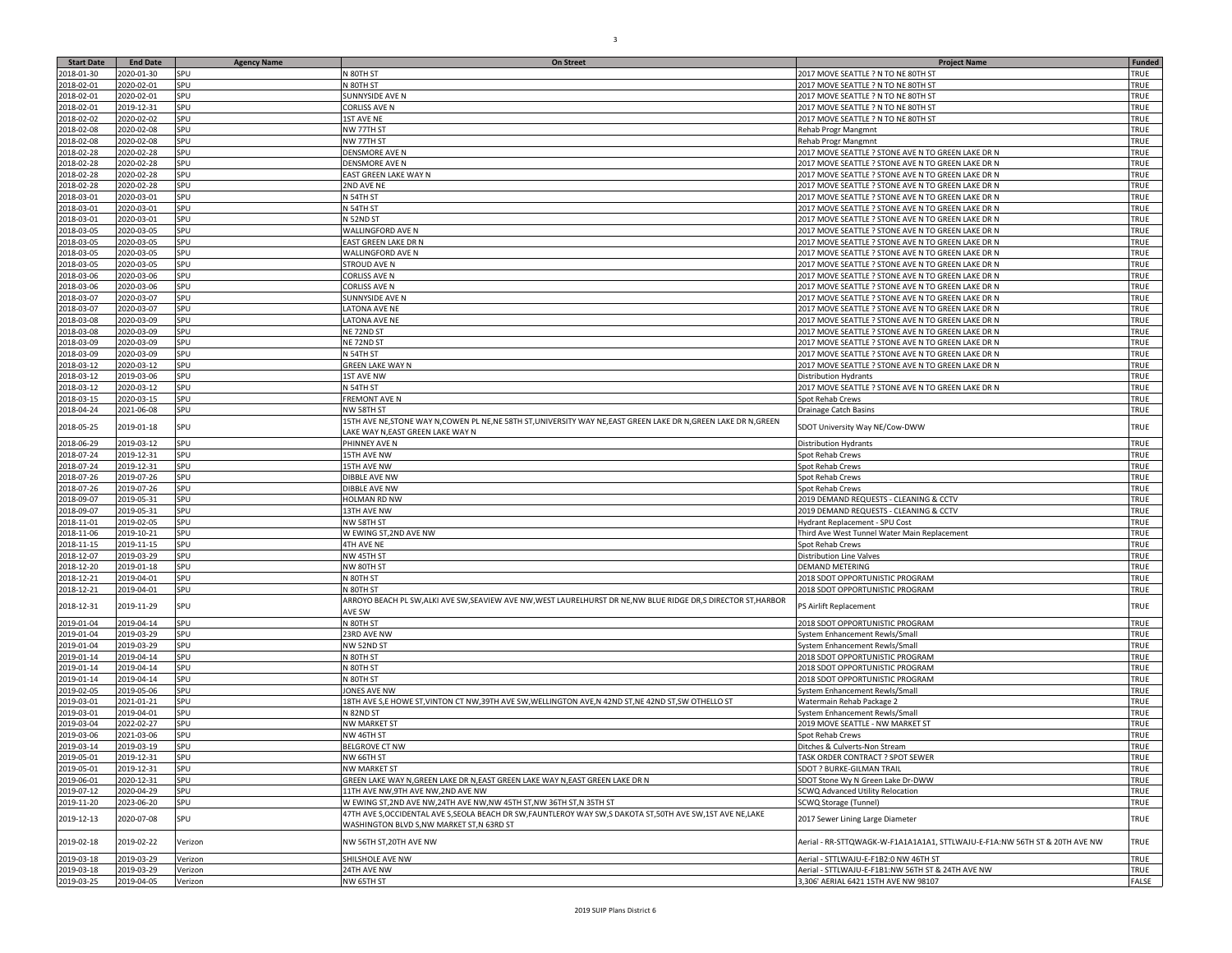| <b>Start Date</b>        | <b>End Date</b>          | <b>Agency Name</b> | On Street                                                                                                          | <b>Project Name</b>                                                                                      | <b>Funded</b> |
|--------------------------|--------------------------|--------------------|--------------------------------------------------------------------------------------------------------------------|----------------------------------------------------------------------------------------------------------|---------------|
| 2018-01-30               | 2020-01-30               | SPU                | N 80TH ST                                                                                                          | 2017 MOVE SEATTLE ? N TO NE 80TH ST                                                                      | TRUE          |
| 2018-02-01               | 2020-02-01               | SPU                | N 80TH ST                                                                                                          | 2017 MOVE SEATTLE ? N TO NE 80TH ST                                                                      | TRUE          |
| 2018-02-01               | 2020-02-01               | SPU                | SUNNYSIDE AVE N                                                                                                    | 2017 MOVE SEATTLE ? N TO NE 80TH ST                                                                      | TRUE          |
| 2018-02-01               | 2019-12-31               | SPU                | CORLISS AVE N                                                                                                      | 2017 MOVE SEATTLE ? N TO NE 80TH ST                                                                      | TRUE          |
| 2018-02-02               | 2020-02-02               | SPU                | <b>LST AVE NE</b>                                                                                                  | 2017 MOVE SEATTLE ? N TO NE 80TH ST                                                                      | TRUE          |
| 2018-02-08               | 2020-02-08               | SPU                | NW 77TH ST                                                                                                         | Rehab Progr Mangmnt                                                                                      | TRUE          |
| 2018-02-08               | 2020-02-08               | SPU                | NW 77TH ST                                                                                                         | Rehab Progr Mangmnt                                                                                      | TRUE          |
| 2018-02-28<br>2018-02-28 | 2020-02-28<br>2020-02-28 | SPU<br>SPU         | DENSMORE AVE N<br>DENSMORE AVE N                                                                                   | 2017 MOVE SEATTLE ? STONE AVE N TO GREEN LAKE DR N                                                       | TRUE<br>TRUE  |
| 2018-02-28               | 2020-02-28               | SPU                | EAST GREEN LAKE WAY N                                                                                              | 2017 MOVE SEATTLE ? STONE AVE N TO GREEN LAKE DR N<br>2017 MOVE SEATTLE ? STONE AVE N TO GREEN LAKE DR N | TRUE          |
| 2018-02-28               | 2020-02-28               | SPU                | 2ND AVE NE                                                                                                         | 2017 MOVE SEATTLE ? STONE AVE N TO GREEN LAKE DR N                                                       | TRUE          |
| 2018-03-01               | 2020-03-01               | SPU                | N 54TH ST                                                                                                          | 2017 MOVE SEATTLE ? STONE AVE N TO GREEN LAKE DR N                                                       | TRUE          |
| 2018-03-01               | 2020-03-01               | SPU                | N 54TH ST                                                                                                          | 2017 MOVE SEATTLE ? STONE AVE N TO GREEN LAKE DR N                                                       | TRUE          |
| 2018-03-01               | 2020-03-01               | SPU                | N 52ND ST                                                                                                          | 2017 MOVE SEATTLE ? STONE AVE N TO GREEN LAKE DR N                                                       | TRUE          |
| 2018-03-05               | 2020-03-05               | SPU                | WALLINGFORD AVE N                                                                                                  | 2017 MOVE SEATTLE ? STONE AVE N TO GREEN LAKE DR N                                                       | TRUE          |
| 2018-03-05               | 2020-03-05               | SPU                | EAST GREEN LAKE DR N                                                                                               | 2017 MOVE SEATTLE ? STONE AVE N TO GREEN LAKE DR N                                                       | TRUE          |
| 2018-03-05               | 2020-03-05               | SPU                | WALLINGFORD AVE N                                                                                                  | 2017 MOVE SEATTLE ? STONE AVE N TO GREEN LAKE DR N                                                       | TRUE          |
| 2018-03-05               | 2020-03-05               | SPU                | STROUD AVE N                                                                                                       | 2017 MOVE SEATTLE ? STONE AVE N TO GREEN LAKE DR N                                                       | TRUE          |
| 2018-03-06               | 2020-03-06               | SPU                | CORLISS AVE N                                                                                                      | 2017 MOVE SEATTLE ? STONE AVE N TO GREEN LAKE DR N                                                       | TRUE          |
| 2018-03-06               | 2020-03-06               | SPU                | CORLISS AVE N                                                                                                      | 2017 MOVE SEATTLE ? STONE AVE N TO GREEN LAKE DR N                                                       | TRUE          |
| 2018-03-07               | 2020-03-07               | SPU                | SUNNYSIDE AVE N                                                                                                    | 2017 MOVE SEATTLE ? STONE AVE N TO GREEN LAKE DR N                                                       | TRUE          |
| 2018-03-07               | 2020-03-07               | SPU                | <b>LATONA AVE NE</b>                                                                                               | 2017 MOVE SEATTLE ? STONE AVE N TO GREEN LAKE DR N                                                       | TRUE          |
| 2018-03-08               | 2020-03-09               | SPU                | LATONA AVE NE                                                                                                      | 2017 MOVE SEATTLE ? STONE AVE N TO GREEN LAKE DR N                                                       | TRUE          |
| 2018-03-08               | 2020-03-09               | SPU                | NE 72ND ST                                                                                                         | 2017 MOVE SEATTLE ? STONE AVE N TO GREEN LAKE DR N                                                       | TRUE          |
| 2018-03-09               | 2020-03-09               | SPU                | NE 72ND ST                                                                                                         | 2017 MOVE SEATTLE ? STONE AVE N TO GREEN LAKE DR N                                                       | TRUE          |
| 2018-03-09<br>2018-03-12 | 2020-03-09<br>2020-03-12 | SPU<br>SPU         | N 54TH ST<br><b>GREEN LAKE WAY N</b>                                                                               | 2017 MOVE SEATTLE ? STONE AVE N TO GREEN LAKE DR N<br>2017 MOVE SEATTLE ? STONE AVE N TO GREEN LAKE DR N | TRUE<br>TRUE  |
| 2018-03-12               | 2019-03-06               | SPU                | 1ST AVE NW                                                                                                         | <b>Distribution Hydrants</b>                                                                             | TRUE          |
| 2018-03-12               | 2020-03-12               | SPU                | N 54TH ST                                                                                                          | 2017 MOVE SEATTLE ? STONE AVE N TO GREEN LAKE DR N                                                       | TRUE          |
| 2018-03-15               | 2020-03-15               | SPU                | FREMONT AVE N                                                                                                      | Spot Rehab Crews                                                                                         | TRUE          |
| 2018-04-24               | 2021-06-08               | SPU                | NW 58TH ST                                                                                                         | Drainage Catch Basins                                                                                    | TRUE          |
|                          |                          |                    | 15TH AVE NE, STONE WAY N, COWEN PL NE, NE 58TH ST, UNIVERSITY WAY NE, EAST GREEN LAKE DR N, GREEN LAKE DR N, GREEN |                                                                                                          |               |
| 2018-05-25               | 2019-01-18               | SPU                | AKE WAY N,EAST GREEN LAKE WAY N                                                                                    | SDOT University Way NE/Cow-DWW                                                                           | TRUE          |
| 2018-06-29               | 2019-03-12               | SPU                | PHINNEY AVE N                                                                                                      | <b>Distribution Hydrants</b>                                                                             | TRUE          |
| 2018-07-24               | 2019-12-31               | SPU                | <b>L5TH AVE NW</b>                                                                                                 | Spot Rehab Crews                                                                                         | TRUE          |
| 2018-07-24               | 2019-12-31               | SPU                | <b>15TH AVE NW</b>                                                                                                 | Spot Rehab Crews                                                                                         | TRUE          |
| 2018-07-26               | 2019-07-26               | SPU                | DIBBLE AVE NW                                                                                                      | Spot Rehab Crews                                                                                         | TRUE          |
| 2018-07-26               | 2019-07-26               | SPU                | DIBBLE AVE NW                                                                                                      | Spot Rehab Crews                                                                                         | TRUE          |
| 2018-09-07               | 2019-05-31               | SPU                | <b>HOLMAN RD NW</b>                                                                                                | 2019 DEMAND REQUESTS - CLEANING & CCTV                                                                   | TRUE          |
| 2018-09-07               | 2019-05-31               | SPU                | 13TH AVE NW                                                                                                        | 2019 DEMAND REQUESTS - CLEANING & CCTV                                                                   | TRUE          |
| 2018-11-01               | 2019-02-05               | SPU                | NW 58TH ST                                                                                                         | Hydrant Replacement - SPU Cost                                                                           | TRUE          |
| 2018-11-06<br>2018-11-15 | 2019-10-21<br>2019-11-15 | SPU<br>SPU         | W EWING ST, 2ND AVE NW<br>4TH AVE NE                                                                               | Third Ave West Tunnel Water Main Replacement<br>Spot Rehab Crews                                         | TRUE<br>TRUE  |
| 2018-12-07               | 2019-03-29               | SPU                | NW 45TH ST                                                                                                         | Distribution Line Valves                                                                                 | TRUE          |
| 2018-12-20               | 2019-01-18               | SPU                | NW 80TH ST                                                                                                         | DEMAND METERING                                                                                          | TRUE          |
| 2018-12-21               | 2019-04-01               | SPU                | N 80TH ST                                                                                                          | 2018 SDOT OPPORTUNISTIC PROGRAM                                                                          | TRUE          |
| 2018-12-21               | 2019-04-01               | SPU                | N 80TH ST                                                                                                          | 2018 SDOT OPPORTUNISTIC PROGRAM                                                                          | TRUE          |
|                          |                          |                    | ARROYO BEACH PL SW, ALKI AVE SW, SEAVIEW AVE NW, WEST LAURELHURST DR NE, NW BLUE RIDGE DR, S DIRECTOR ST, HARBOR   |                                                                                                          |               |
| 2018-12-31               | 2019-11-29               | SPU                | AVE SW                                                                                                             | PS Airlift Replacement                                                                                   | TRUE          |
| 2019-01-04               | 2019-04-14               | SPU                | N 80TH ST                                                                                                          | 2018 SDOT OPPORTUNISTIC PROGRAM                                                                          | TRUE          |
| 2019-01-04               | 2019-03-29               | SPU                | 23RD AVE NW                                                                                                        | System Enhancement Rewls/Small                                                                           | TRUE          |
| 2019-01-04               | 2019-03-29               | SPU                | NW 52ND ST                                                                                                         | System Enhancement Rewls/Small                                                                           | TRUE          |
| 2019-01-14               | 2019-04-14               | SPU                | N 80TH ST                                                                                                          | 2018 SDOT OPPORTUNISTIC PROGRAM                                                                          | TRUE          |
| 2019-01-14               | 2019-04-14               | SPU                | N 80TH ST                                                                                                          | 2018 SDOT OPPORTUNISTIC PROGRAM                                                                          | TRUE          |
| 2019-01-14               | 2019-04-14               | SPU                | N 80TH ST                                                                                                          | 2018 SDOT OPPORTUNISTIC PROGRAM                                                                          | TRUE          |
| 2019-02-05               | 2019-05-06               | SPU                | <b>ONES AVE NW</b>                                                                                                 | System Enhancement Rewls/Small                                                                           | TRUE          |
| 2019-03-01               | 2021-01-21               | SPU                | 18TH AVE S,E HOWE ST,VINTON CT NW,39TH AVE SW,WELLINGTON AVE,N 42ND ST,NE 42ND ST,SW OTHELLO ST                    | Watermain Rehab Package 2                                                                                | TRUE<br>TRUE  |
| 2019-03-01<br>2019-03-04 | 2019-04-01<br>2022-02-27 | SPU<br>SPU         | N 82ND ST<br>NW MARKET ST                                                                                          | System Enhancement Rewls/Small<br>2019 MOVE SEATTLE - NW MARKET ST                                       | TRUE          |
| 2019-03-06               | 2021-03-06               | SPU                | NW 46TH ST                                                                                                         | Spot Rehab Crews                                                                                         | TRUE          |
| 2019-03-14               | 2019-03-19               | SPU                | <b>BELGROVE CT NW</b>                                                                                              | Ditches & Culverts-Non Stream                                                                            | TRUE          |
| 2019-05-01               | 2019-12-31               | <b>SPU</b>         | NW 66TH ST                                                                                                         | TASK ORDER CONTRACT ? SPOT SEWER                                                                         | TRUE          |
| 2019-05-01               | 2019-12-31               | SPU                | <b>NW MARKET ST</b>                                                                                                | SDOT ? BURKE-GILMAN TRAIL                                                                                | TRUE          |
| 2019-06-01               | 2020-12-31               | SPU                | GREEN LAKE WAY N, GREEN LAKE DR N, EAST GREEN LAKE WAY N, EAST GREEN LAKE DR N                                     | SDOT Stone Wv N Green Lake Dr-DWW                                                                        | TRUE          |
| 2019-07-12               | 2020-04-29               | SPU                | 11TH AVE NW, 9TH AVE NW, 2ND AVE NW                                                                                | SCWQ Advanced Utility Relocation                                                                         | TRUE          |
| 2019-11-20               | 2023-06-20               | SPU                | W EWING ST, 2ND AVE NW, 24TH AVE NW, NW 45TH ST, NW 36TH ST, N 35TH ST                                             | SCWQ Storage (Tunnel)                                                                                    | TRUE          |
| 2019-12-13               | 2020-07-08               | SPU                | 47TH AVE S, OCCIDENTAL AVE S, SEOLA BEACH DR SW, FAUNTLEROY WAY SW, S DAKOTA ST, 50TH AVE SW, 1ST AVE NE, LAKE     | 2017 Sewer Lining Large Diameter                                                                         | TRUE          |
|                          |                          |                    | WASHINGTON BLVD S,NW MARKET ST,N 63RD ST                                                                           |                                                                                                          |               |
| 2019-02-18               | 2019-02-22               | Verizon            | NW 56TH ST, 20TH AVE NW                                                                                            | Aerial - RR-STTQWAGK-W-F1A1A1A1A1, STTLWAJU-E-F1A:NW 56TH ST & 20TH AVE NW                               | TRUE          |
|                          |                          |                    |                                                                                                                    |                                                                                                          |               |
| 2019-03-18               | 2019-03-29               | Verizon            | SHILSHOLE AVE NW                                                                                                   | Aerial - STTLWAJU-E-F1B2:0 NW 46TH ST                                                                    | TRUE          |
| 2019-03-18               | 2019-03-29               | Verizon            | 24TH AVE NW                                                                                                        | Aerial - STTLWAJU-E-F1B1:NW 56TH ST & 24TH AVE NW                                                        | TRUE          |
| 2019-03-25               | 2019-04-05               | Verizon            | NW 65TH ST                                                                                                         | 3,306' AERIAL 6421 15TH AVE NW 98107                                                                     | FALSE         |